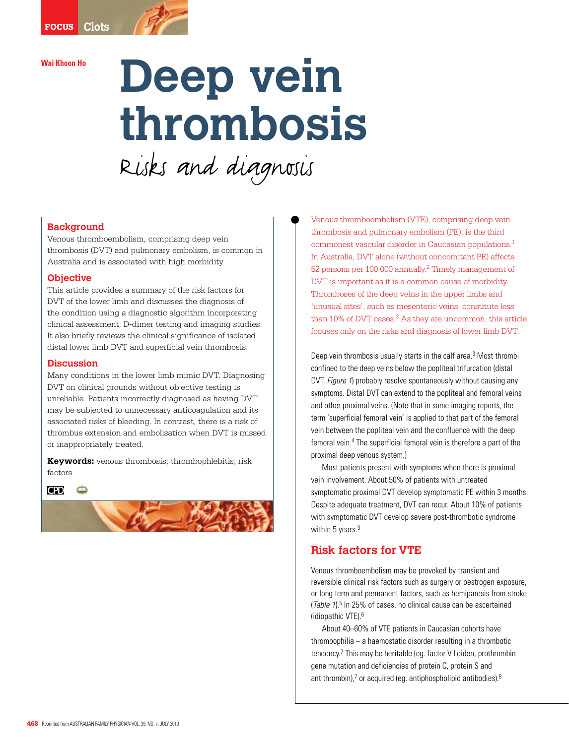# Wai Khoon Ho<br>**Deep vein thrombosis**  Risks and diagnosis

#### **Background**

Venous thromboembolism, comprising deep vein thrombosis (DVT) and pulmonary embolism, is common in Australia and is associated with high morbidity.

#### **Objective**

This article provides a summary of the risk factors for DVT of the lower limb and discusses the diagnosis of the condition using a diagnostic algorithm incorporating clinical assessment, D-dimer testing and imaging studies. It also briefly reviews the clinical significance of isolated distal lower limb DVT and superficial vein thrombosis.

#### **Discussion**

Many conditions in the lower limb mimic DVT. Diagnosing DVT on clinical grounds without objective testing is unreliable. Patients incorrectly diagnosed as having DVT may be subjected to unnecessary anticoagulation and its associated risks of bleeding. In contrast, there is a risk of thrombus extension and embolisation when DVT is missed or inappropriately treated.

**Keywords:** venous thrombosis; thrombophlebitis; risk factors



Venous thromboembolism (VTE), comprising deep vein thrombosis and pulmonary embolism (PE), is the third commonest vascular disorder in Caucasian populations.1 In Australia, DVT alone (without concomitant PE) affects 52 persons per 100 000 annually.2 Timely management of DVT is important as it is a common cause of morbidity. Thromboses of the deep veins in the upper limbs and 'unusual sites', such as mesenteric veins, constitute less than  $10\%$  of DVT cases.<sup>2</sup> As they are uncommon, this article focuses only on the risks and diagnosis of lower limb DVT.

Deep vein thrombosis usually starts in the calf area.<sup>3</sup> Most thrombi confined to the deep veins below the popliteal trifurcation (distal DVT, Figure 1) probably resolve spontaneously without causing any symptoms. Distal DVT can extend to the popliteal and femoral veins and other proximal veins. (Note that in some imaging reports, the term 'superficial femoral vein' is applied to that part of the femoral vein between the popliteal vein and the confluence with the deep femoral vein.4 The superficial femoral vein is therefore a part of the proximal deep venous system.)

 Most patients present with symptoms when there is proximal vein involvement. About 50% of patients with untreated symptomatic proximal DVT develop symptomatic PE within 3 months. Despite adequate treatment, DVT can recur. About 10% of patients with symptomatic DVT develop severe post-thrombotic syndrome within 5 years.<sup>3</sup>

# **Risk factors for VTE**

Venous thromboembolism may be provoked by transient and reversible clinical risk factors such as surgery or oestrogen exposure, or long term and permanent factors, such as hemiparesis from stroke (Table  $1$ ).<sup>5</sup> In 25% of cases, no clinical cause can be ascertained (idiopathic VTE).6

About 40–60% of VTE patients in Caucasian cohorts have thrombophilia – a haemostatic disorder resulting in a thrombotic tendency.7 This may be heritable (eg. factor V Leiden, prothrombin gene mutation and deficiencies of protein C, protein S and antithrombin),<sup>7</sup> or acquired (eg. antiphospholipid antibodies).<sup>8</sup>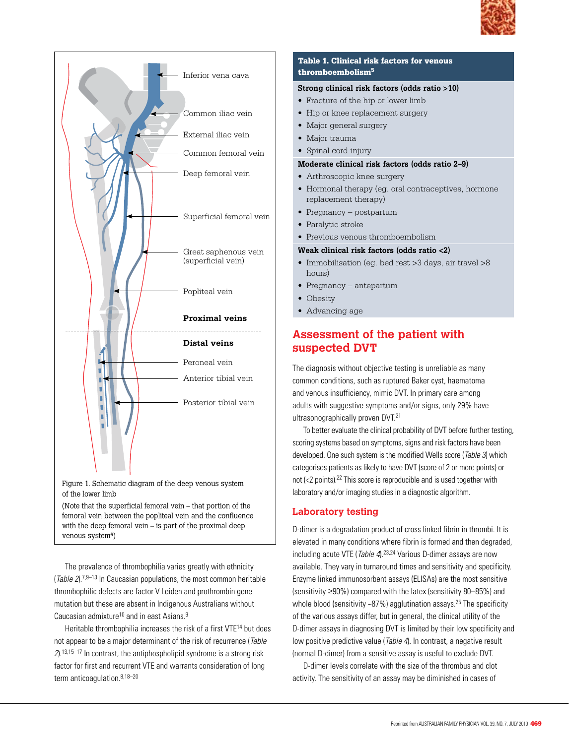



(Note that the superficial femoral vein – that portion of the femoral vein between the popliteal vein and the confluence with the deep femoral vein – is part of the proximal deep venous system<sup>4</sup>)

 The prevalence of thrombophilia varies greatly with ethnicity (Table  $2$ ).<sup>7,9–13</sup> In Caucasian populations, the most common heritable thrombophilic defects are factor V Leiden and prothrombin gene mutation but these are absent in Indigenous Australians without Caucasian admixture<sup>10</sup> and in east Asians.<sup>9</sup>

Heritable thrombophilia increases the risk of a first VTE<sup>14</sup> but does not appear to be a major determinant of the risk of recurrence (Table  $2$ <sup>13,15–17</sup> In contrast, the antiphospholipid syndrome is a strong risk factor for first and recurrent VTE and warrants consideration of long term anticoagulation. $8,18-20$ 

#### Table 1. Clinical risk factors for venous thromboembolism5

#### **Strong clinical risk factors (odds ratio >10)**

- Fracture of the hip or lower limb
- Hip or knee replacement surgery
- Major general surgery
- Major trauma
- Spinal cord injury

#### **Moderate clinical risk factors (odds ratio 2–9)**

- Arthroscopic knee surgery
- Hormonal therapy (eq. oral contraceptives, hormone replacement therapy)
- Pregnancy postpartum
- Paralytic stroke
- Previous venous thromboembolism

#### **Weak clinical risk factors (odds ratio <2)**

- Immobilisation (eq. bed rest >3 days, air travel >8 hours)
- Pregnancy antepartum
- Obesity
- Advancing age

# **Assessment of the patient with suspected DVT**

The diagnosis without objective testing is unreliable as many common conditions, such as ruptured Baker cyst, haematoma and venous insufficiency, mimic DVT. In primary care among adults with suggestive symptoms and/or signs, only 29% have ultrasonographically proven DVT.<sup>21</sup>

 To better evaluate the clinical probability of DVT before further testing, scoring systems based on symptoms, signs and risk factors have been developed. One such system is the modified Wells score (Table 3) which categorises patients as likely to have DVT (score of 2 or more points) or not  $\ll$  points).<sup>22</sup> This score is reproducible and is used together with laboratory and/or imaging studies in a diagnostic algorithm.

#### **Laboratory testing**

D-dimer is a degradation product of cross linked fibrin in thrombi. It is elevated in many conditions where fibrin is formed and then degraded, including acute VTE (*Table 4*).<sup>23,24</sup> Various D-dimer assays are now available. They vary in turnaround times and sensitivity and specificity. Enzyme linked immunosorbent assays (ELISAs) are the most sensitive (sensitivity ≥90%) compared with the latex (sensitivity 80–85%) and whole blood (sensitivity  $\sim$ 87%) agglutination assays.<sup>25</sup> The specificity of the various assays differ, but in general, the clinical utility of the D-dimer assays in diagnosing DVT is limited by their low specificity and low positive predictive value (Table 4). In contrast, a negative result (normal D-dimer) from a sensitive assay is useful to exclude DVT.

D-dimer levels correlate with the size of the thrombus and clot activity. The sensitivity of an assay may be diminished in cases of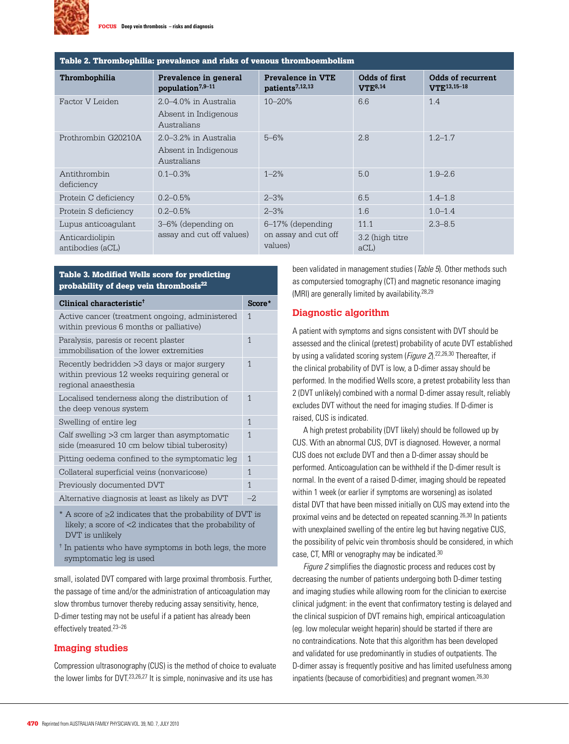

| Table 2. Thrombophilia: prevalence and risks of venous thromboembolism |                                                                   |                                                         |                               |                                              |  |
|------------------------------------------------------------------------|-------------------------------------------------------------------|---------------------------------------------------------|-------------------------------|----------------------------------------------|--|
| Thrombophilia                                                          | Prevalence in general<br>population <sup>7,9-11</sup>             | <b>Prevalence in VTE</b><br>patients <sup>7,12,13</sup> | Odds of first<br>$VTE^{8,14}$ | Odds of recurrent<br>VTE <sup>13,15-18</sup> |  |
| Factor V Leiden                                                        | 2.0–4.0% in Australia<br>Absent in Indigenous<br>Australians      | $10 - 20%$                                              | 6.6                           | 1.4                                          |  |
| Prothrombin G20210A                                                    | $2.0 - 3.2\%$ in Australia<br>Absent in Indigenous<br>Australians | $5 - 6%$                                                | 2.8                           | $1.2 - 1.7$                                  |  |
| Antithrombin<br>deficiency                                             | $0.1 - 0.3\%$                                                     | $1 - 2%$                                                | 5.0                           | $1.9 - 2.6$                                  |  |
| Protein C deficiency                                                   | $0.2 - 0.5%$                                                      | $2 - 3%$                                                | 6.5                           | $1.4 - 1.8$                                  |  |
| Protein S deficiency                                                   | $0.2 - 0.5%$                                                      | $2 - 3%$                                                | 1.6                           | $1.0 - 1.4$                                  |  |
| Lupus anticoagulant                                                    | 3–6% (depending on<br>assay and cut off values)                   | $6-17\%$ (depending<br>on assay and cut off<br>values)  | 11.1                          | $2.3 - 8.5$                                  |  |
| Anticardiolipin<br>antibodies (aCL)                                    |                                                                   |                                                         | 3.2 (high titre<br>$aCL$ )    |                                              |  |

#### Table 3. Modified Wells score for predicting probability of deep vein thrombosis<sup>22</sup>

| Clinical characteristic <sup>†</sup>                                                                                 |      |  |
|----------------------------------------------------------------------------------------------------------------------|------|--|
| Active cancer (treatment ongoing, administered<br>within previous 6 months or palliative)                            | 1    |  |
| Paralysis, paresis or recent plaster<br>immobilisation of the lower extremities                                      | 1    |  |
| Recently bedridden >3 days or major surgery<br>within previous 12 weeks requiring general or<br>regional anaesthesia | 1    |  |
| Localised tenderness along the distribution of<br>the deep venous system                                             | 1    |  |
| Swelling of entire leg                                                                                               | 1    |  |
| Calf swelling >3 cm larger than asymptomatic<br>side (measured 10 cm below tibial tuberosity)                        | 1    |  |
| Pitting oedema confined to the symptomatic leg                                                                       | 1    |  |
| Collateral superficial veins (nonvaricose)                                                                           | 1    |  |
| Previously documented DVT                                                                                            | 1    |  |
| Alternative diagnosis at least as likely as DVT                                                                      | $-2$ |  |

\* A score of ≥2 indicates that the probability of DVT is likely; a score of <2 indicates that the probability of DVT is unlikely

† In patients who have symptoms in both legs, the more symptomatic leg is used

small, isolated DVT compared with large proximal thrombosis. Further, the passage of time and/or the administration of anticoagulation may slow thrombus turnover thereby reducing assay sensitivity, hence, D-dimer testing may not be useful if a patient has already been effectively treated.<sup>23-26</sup>

#### **Imaging studies**

Compression ultrasonography (CUS) is the method of choice to evaluate the lower limbs for DVT.<sup>23,26,27</sup> It is simple, noninvasive and its use has

been validated in management studies (Table 5). Other methods such as computersied tomography (CT) and magnetic resonance imaging (MRI) are generally limited by availability.<sup>28,29</sup>

#### **Diagnostic algorithm**

A patient with symptoms and signs consistent with DVT should be assessed and the clinical (pretest) probability of acute DVT established by using a validated scoring system (Figure 2).<sup>22,26,30</sup> Thereafter, if the clinical probability of DVT is low, a D-dimer assay should be performed. In the modified Wells score, a pretest probability less than 2 (DVT unlikely) combined with a normal D-dimer assay result, reliably excludes DVT without the need for imaging studies. If D-dimer is raised, CUS is indicated.

A high pretest probability (DVT likely) should be followed up by CUS. With an abnormal CUS, DVT is diagnosed. However, a normal CUS does not exclude DVT and then a D-dimer assay should be performed. Anticoagulation can be withheld if the D-dimer result is normal. In the event of a raised D-dimer, imaging should be repeated within 1 week (or earlier if symptoms are worsening) as isolated distal DVT that have been missed initially on CUS may extend into the proximal veins and be detected on repeated scanning.26,30 In patients with unexplained swelling of the entire leg but having negative CUS, the possibility of pelvic vein thrombosis should be considered, in which case, CT, MRI or venography may be indicated.30

Figure 2 simplifies the diagnostic process and reduces cost by decreasing the number of patients undergoing both D-dimer testing and imaging studies while allowing room for the clinician to exercise clinical judgment: in the event that confirmatory testing is delayed and the clinical suspicion of DVT remains high, empirical anticoagulation (eg. low molecular weight heparin) should be started if there are no contraindications. Note that this algorithm has been developed and validated for use predominantly in studies of outpatients. The D-dimer assay is frequently positive and has limited usefulness among inpatients (because of comorbidities) and pregnant women.<sup>26,30</sup>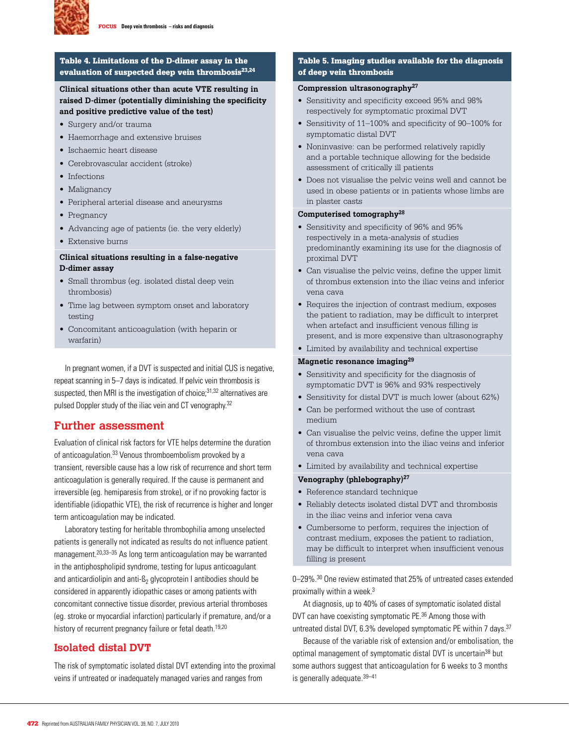

#### Table 4. Limitations of the D-dimer assay in the evaluation of suspected deep vein thrombosis<sup>23,24</sup>

#### **Clinical situations other than acute VTE resulting in raised D-dimer (potentially diminishing the specificity and positive predictive value of the test)**

- Surgery and/or trauma
- Haemorrhage and extensive bruises
- Ischaemic heart disease
- • Cerebrovascular accident (stroke)
- Infections
- Malignancy
- • Peripheral arterial disease and aneurysms
- Pregnancy
- Advancing age of patients (ie. the very elderly)
- Extensive burns

#### **Clinical situations resulting in a false-negative D-dimer assay**

- Small thrombus (eq. isolated distal deep vein thrombosis)
- Time lag between symptom onset and laboratory testing
- • Concomitant anticoagulation (with heparin or warfarin)

 In pregnant women, if a DVT is suspected and initial CUS is negative, repeat scanning in 5–7 days is indicated. If pelvic vein thrombosis is suspected, then MRI is the investigation of choice; $31,32$  alternatives are pulsed Doppler study of the iliac vein and CT venography.<sup>32</sup>

## **Further assessment**

Evaluation of clinical risk factors for VTE helps determine the duration of anticoagulation.33 Venous thromboembolism provoked by a transient, reversible cause has a low risk of recurrence and short term anticoagulation is generally required. If the cause is permanent and irreversible (eg. hemiparesis from stroke), or if no provoking factor is identifiable (idiopathic VTE), the risk of recurrence is higher and longer term anticoagulation may be indicated.

 Laboratory testing for heritable thrombophilia among unselected patients is generally not indicated as results do not influence patient management.20,33–35 As long term anticoagulation may be warranted in the antiphospholipid syndrome, testing for lupus anticoagulant and anticardiolipin and anti- $\mathbb{S}_2$  glycoprotein I antibodies should be considered in apparently idiopathic cases or among patients with concomitant connective tissue disorder, previous arterial thromboses (eg. stroke or myocardial infarction) particularly if premature, and/or a history of recurrent pregnancy failure or fetal death.<sup>19,20</sup>

## **Isolated distal DVT**

The risk of symptomatic isolated distal DVT extending into the proximal veins if untreated or inadequately managed varies and ranges from

#### Table 5. Imaging studies available for the diagnosis of deep vein thrombosis

#### **Compression ultrasonography27**

- • Sensitivity and specificity exceed 95% and 98% respectively for symptomatic proximal DVT
- Sensitivity of 11–100% and specificity of 90–100% for symptomatic distal DVT
- Noninvasive: can be performed relatively rapidly and a portable technique allowing for the bedside assessment of critically ill patients
- • Does not visualise the pelvic veins well and cannot be used in obese patients or in patients whose limbs are in plaster casts

#### **Computerised tomography28**

- • Sensitivity and specificity of 96% and 95% respectively in a meta-analysis of studies predominantly examining its use for the diagnosis of proximal DVT
- Can visualise the pelvic veins, define the upper limit of thrombus extension into the iliac veins and inferior vena cava
- Requires the injection of contrast medium, exposes the patient to radiation, may be difficult to interpret when artefact and insufficient venous filling is present, and is more expensive than ultrasonography
- • Limited by availability and technical expertise

#### **Magnetic resonance imaging29**

- Sensitivity and specificity for the diagnosis of symptomatic DVT is 96% and 93% respectively
- Sensitivity for distal DVT is much lower (about 62%)
- • Can be performed without the use of contrast medium
- • Can visualise the pelvic veins, define the upper limit of thrombus extension into the iliac veins and inferior vena cava
- • Limited by availability and technical expertise

#### **Venography (phlebography)27**

- Reference standard technique
- Reliably detects isolated distal DVT and thrombosis in the iliac veins and inferior vena cava
- • Cumbersome to perform, requires the injection of contrast medium, exposes the patient to radiation, may be difficult to interpret when insufficient venous filling is present

0–29%.<sup>30</sup> One review estimated that 25% of untreated cases extended proximally within a week.3

At diagnosis, up to 40% of cases of symptomatic isolated distal DVT can have coexisting symptomatic PE.<sup>36</sup> Among those with untreated distal DVT, 6.3% developed symptomatic PE within 7 days.<sup>37</sup>

Because of the variable risk of extension and/or embolisation, the optimal management of symptomatic distal DVT is uncertain<sup>38</sup> but some authors suggest that anticoagulation for 6 weeks to 3 months is generally adequate.39–41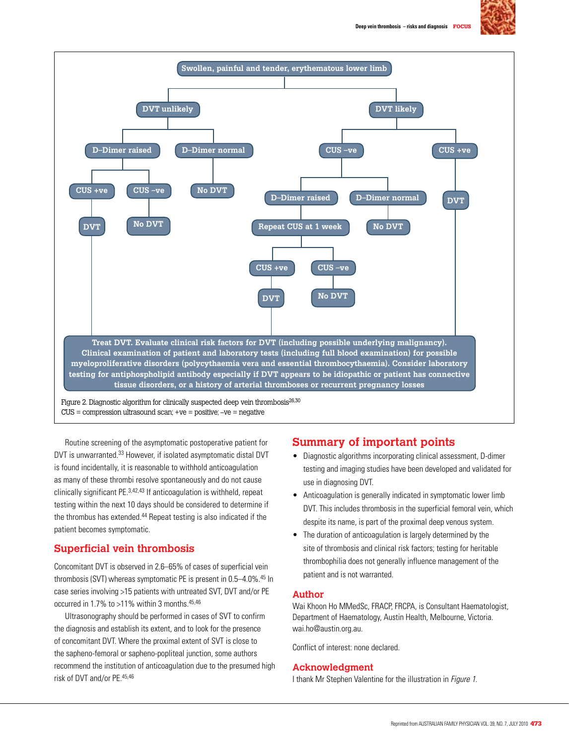



Routine screening of the asymptomatic postoperative patient for DVT is unwarranted.<sup>33</sup> However, if isolated asymptomatic distal DVT is found incidentally, it is reasonable to withhold anticoagulation as many of these thrombi resolve spontaneously and do not cause clinically significant PE.3,42,43 If anticoagulation is withheld, repeat testing within the next 10 days should be considered to determine if the thrombus has extended.<sup>44</sup> Repeat testing is also indicated if the patient becomes symptomatic.

## **Superficial vein thrombosis**

Concomitant DVT is observed in 2.6–65% of cases of superficial vein thrombosis (SVT) whereas symptomatic PE is present in 0.5–4.0%.<sup>45</sup> In case series involving >15 patients with untreated SVT, DVT and/or PE occurred in 1.7% to >11% within 3 months.<sup>45,46</sup>

 Ultrasonography should be performed in cases of SVT to confirm the diagnosis and establish its extent, and to look for the presence of concomitant DVT. Where the proximal extent of SVT is close to the sapheno-femoral or sapheno-popliteal junction, some authors recommend the institution of anticoagulation due to the presumed high risk of DVT and/or PE.45,46

## **Summary of important points**

- Diagnostic algorithms incorporating clinical assessment, D-dimer testing and imaging studies have been developed and validated for use in diagnosing DVT.
- Anticoagulation is generally indicated in symptomatic lower limb DVT. This includes thrombosis in the superficial femoral vein, which despite its name, is part of the proximal deep venous system.
- The duration of anticoagulation is largely determined by the site of thrombosis and clinical risk factors; testing for heritable thrombophilia does not generally influence management of the patient and is not warranted.

#### **Author**

Wai Khoon Ho MMedSc, FRACP, FRCPA, is Consultant Haematologist, Department of Haematology, Austin Health, Melbourne, Victoria. wai.ho@austin.org.au.

Conflict of interest: none declared.

#### **Acknowledgment**

I thank Mr Stephen Valentine for the illustration in Figure 1.